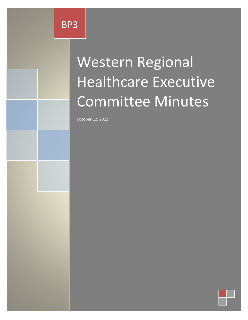# Western Regional Healthcare Executive Committee Minutes

October 12, 2021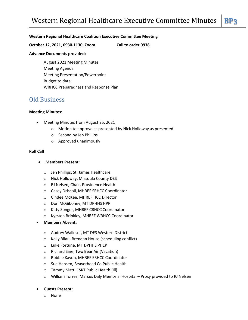### **Western Regional Healthcare Coalition Executive Committee Meeting**

**October 12, 2021, 0930-1130, Zoom Call to order 0938**

#### **Advance Documents provided:**

August 2021 Meeting Minutes Meeting Agenda Meeting Presentation/Powerpoint Budget to date WRHCC Preparedness and Response Plan

# Old Business

#### **Meeting Minutes:**

- Meeting Minutes from August 25, 2021
	- o Motion to approve as presented by Nick Holloway as presented
	- o Second by Jen Phillips
	- o Approved unanimously

#### **Roll Call**

- **Members Present:**
	- o Jen Phillips, St. James Healthcare
	- o Nick Holloway, Missoula County DES
	- o RJ Nelsen, Chair, Providence Health
	- o Casey Driscoll, MHREF SRHCC Coordinator
	- o Cindee McKee, MHREF HCC Director
	- o Don McGiboney, MT DPHHS HPP
	- o Kitty Songer, MHREF CRHCC Coordinator
	- o Kyrsten Brinkley, MHREF WRHCC Coordinator
- **Members Absent:**
	- o Audrey Walleser, MT DES Western District
	- o Kelly Bilau, Brendan House (scheduling conflict)
	- o Luke Fortune, MT DPHHS PHEP
	- o Richard Sine, Two Bear Air (Vacation)
	- o Robbie Kavon, MHREF ERHCC Coordinator
	- o Sue Hansen, Beaverhead Co Public Health
	- o Tammy Matt, CSKT Public Health (Ill)
	- o William Torres, Marcus Daly Memorial Hospital Proxy provided to RJ Nelsen

#### **Guests Present:**

o None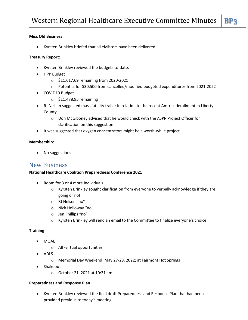# **Misc Old Business:**

Kyrsten Brinkley briefed that all eMisters have been delivered

### **Treasury Report:**

- Kyrsten Brinkley reviewed the budgets to-date.
- HPP Budget
	- o \$11,617.69 remaining from 2020-2021
	- o Potential for \$30,500 from cancelled/modified budgeted expenditures from 2021-2022
- COVID19 Budget
	- $\circ$  \$11,478.95 remaining
- RJ Nelsen suggested mass fatality trailer in relation to the recent Amtrak derailment in Liberty County
	- o Don McGiboney advised that he would check with the ASPR Project Officer for clarification on this suggestion
- It was suggested that oxygen concentrators might be a worth-while project

#### **Membership:**

No suggestions

# New Business

# **National Healthcare Coalition Preparedness Conference 2021**

- Room for 3 or 4 more individuals
	- $\circ$  Kyrsten Brinkley sought clarification from everyone to verbally acknowledge if they are going or not
	- o RJ Nelsen "no"
	- o Nick Holloway "no"
	- o Jen Phillips "no"
	- $\circ$  Kyrsten Brinkley will send an email to the Committee to finalize everyone's choice

#### **Training**

- MOAB
	- o All -virtual opportunities
- ADLS
	- o Memorial Day Weekend; May 27-28, 2022; at Fairmont Hot Springs
- Shakeout
	- o October 21, 2021 at 10:21 am

#### **Preparedness and Response Plan**

 Kyrsten Brinkley reviewed the final draft Preparedness and Response Plan that had been provided previous to today's meeting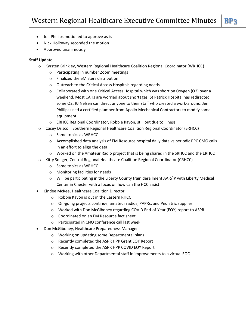- Jen Phillips motioned to approve as-is
- Nick Holloway seconded the motion
- Approved unanimously

# **Staff Update**

- o Kyrsten Brinkley, Western Regional Healthcare Coalition Regional Coordinator (WRHCC)
	- o Participating in number Zoom meetings
	- o Finalized the eMisters distribution
	- o Outreach to the Critical Access Hospitals regarding needs
	- o Collaborated with one Critical Access Hospital which was short on Oxygen (O2) over a weekend. Most CAHs are worried about shortages. St Patrick Hospital has redirected some O2; RJ Nelsen can direct anyone to their staff who created a work-around. Jen Phillips used a certified plumber from Apollo Mechanical Contractors to modify some equipment
	- o ERHCC Regional Coordinator, Robbie Kavon, still out due to illness
- o Casey Driscoll, Southern Regional Healthcare Coalition Regional Coordinator (SRHCC)
	- o Same topics as WRHCC
	- o Accomplished data analysis of EM Resource hospital daily data vs periodic PPC CMO calls in an effort to align the data
	- o Worked on the Amateur Radio project that is being shared in the SRHCC and the ERHCC
- o Kitty Songer, Central Regional Healthcare Coalition Regional Coordinator (CRHCC)
	- o Same topics as WRHCC
	- o Monitoring facilities for needs
	- $\circ$  Will be participating in the Liberty County train derailment AAR/IP with Liberty Medical Center in Chester with a focus on how can the HCC assist
- Cindee McKee, Healthcare Coalition Director
	- o Robbie Kavon is out in the Eastern RHCC
	- o On-going projects continue; amateur radios, PAPRs, and Pediatric supplies
	- o Worked with Don McGiboney regarding COVID End-of-Year (EOY) report to ASPR
	- o Coordinated on an EM Resource fact sheet
	- o Participated in CNO conference call last week
- Don McGiboney, Healthcare Preparedness Manager
	- o Working on updating some Departmental plans
	- o Recently completed the ASPR HPP Grant EOY Report
	- o Recently completed the ASPR HPP COVID EOY Report
	- o Working with other Departmental staff in improvements to a virtual EOC